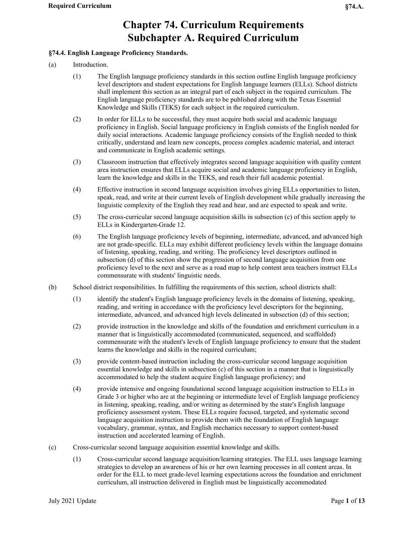## **Chapter 74. Curriculum Requirements Subchapter A. Required Curriculum**

## **§74.4. English Language Proficiency Standards.**

- (a) Introduction.
	- (1) The English language proficiency standards in this section outline English language proficiency level descriptors and student expectations for English language learners (ELLs). School districts shall implement this section as an integral part of each subject in the required curriculum. The English language proficiency standards are to be published along with the Texas Essential Knowledge and Skills (TEKS) for each subject in the required curriculum.
	- (2) In order for ELLs to be successful, they must acquire both social and academic language proficiency in English. Social language proficiency in English consists of the English needed for daily social interactions. Academic language proficiency consists of the English needed to think critically, understand and learn new concepts, process complex academic material, and interact and communicate in English academic settings.
	- (3) Classroom instruction that effectively integrates second language acquisition with quality content area instruction ensures that ELLs acquire social and academic language proficiency in English, learn the knowledge and skills in the TEKS, and reach their full academic potential.
	- (4) Effective instruction in second language acquisition involves giving ELLs opportunities to listen, speak, read, and write at their current levels of English development while gradually increasing the linguistic complexity of the English they read and hear, and are expected to speak and write.
	- (5) The cross-curricular second language acquisition skills in subsection (c) of this section apply to ELLs in Kindergarten-Grade 12.
	- (6) The English language proficiency levels of beginning, intermediate, advanced, and advanced high are not grade-specific. ELLs may exhibit different proficiency levels within the language domains of listening, speaking, reading, and writing. The proficiency level descriptors outlined in subsection (d) of this section show the progression of second language acquisition from one proficiency level to the next and serve as a road map to help content area teachers instruct ELLs commensurate with students' linguistic needs.
- (b) School district responsibilities. In fulfilling the requirements of this section, school districts shall:
	- (1) identify the student's English language proficiency levels in the domains of listening, speaking, reading, and writing in accordance with the proficiency level descriptors for the beginning, intermediate, advanced, and advanced high levels delineated in subsection (d) of this section;
	- (2) provide instruction in the knowledge and skills of the foundation and enrichment curriculum in a manner that is linguistically accommodated (communicated, sequenced, and scaffolded) commensurate with the student's levels of English language proficiency to ensure that the student learns the knowledge and skills in the required curriculum;
	- (3) provide content-based instruction including the cross-curricular second language acquisition essential knowledge and skills in subsection (c) of this section in a manner that is linguistically accommodated to help the student acquire English language proficiency; and
	- (4) provide intensive and ongoing foundational second language acquisition instruction to ELLs in Grade 3 or higher who are at the beginning or intermediate level of English language proficiency in listening, speaking, reading, and/or writing as determined by the state's English language proficiency assessment system. These ELLs require focused, targeted, and systematic second language acquisition instruction to provide them with the foundation of English language vocabulary, grammar, syntax, and English mechanics necessary to support content-based instruction and accelerated learning of English.
- (c) Cross-curricular second language acquisition essential knowledge and skills.
	- (1) Cross-curricular second language acquisition/learning strategies. The ELL uses language learning strategies to develop an awareness of his or her own learning processes in all content areas. In order for the ELL to meet grade-level learning expectations across the foundation and enrichment curriculum, all instruction delivered in English must be linguistically accommodated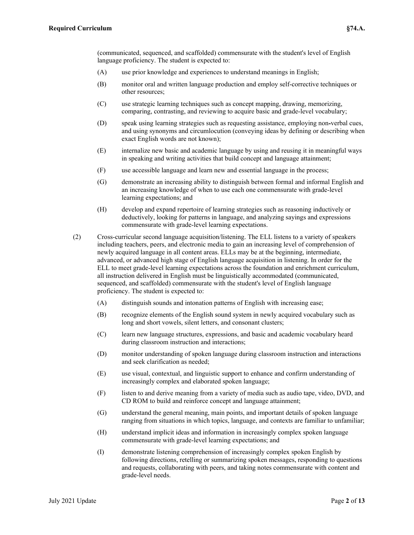(communicated, sequenced, and scaffolded) commensurate with the student's level of English language proficiency. The student is expected to:

- (A) use prior knowledge and experiences to understand meanings in English;
- (B) monitor oral and written language production and employ self-corrective techniques or other resources;
- (C) use strategic learning techniques such as concept mapping, drawing, memorizing, comparing, contrasting, and reviewing to acquire basic and grade-level vocabulary;
- (D) speak using learning strategies such as requesting assistance, employing non-verbal cues, and using synonyms and circumlocution (conveying ideas by defining or describing when exact English words are not known);
- (E) internalize new basic and academic language by using and reusing it in meaningful ways in speaking and writing activities that build concept and language attainment;
- (F) use accessible language and learn new and essential language in the process;
- (G) demonstrate an increasing ability to distinguish between formal and informal English and an increasing knowledge of when to use each one commensurate with grade-level learning expectations; and
- (H) develop and expand repertoire of learning strategies such as reasoning inductively or deductively, looking for patterns in language, and analyzing sayings and expressions commensurate with grade-level learning expectations.
- (2) Cross-curricular second language acquisition/listening. The ELL listens to a variety of speakers including teachers, peers, and electronic media to gain an increasing level of comprehension of newly acquired language in all content areas. ELLs may be at the beginning, intermediate, advanced, or advanced high stage of English language acquisition in listening. In order for the ELL to meet grade-level learning expectations across the foundation and enrichment curriculum, all instruction delivered in English must be linguistically accommodated (communicated, sequenced, and scaffolded) commensurate with the student's level of English language proficiency. The student is expected to:
	- (A) distinguish sounds and intonation patterns of English with increasing ease;
	- (B) recognize elements of the English sound system in newly acquired vocabulary such as long and short vowels, silent letters, and consonant clusters;
	- (C) learn new language structures, expressions, and basic and academic vocabulary heard during classroom instruction and interactions;
	- (D) monitor understanding of spoken language during classroom instruction and interactions and seek clarification as needed;
	- (E) use visual, contextual, and linguistic support to enhance and confirm understanding of increasingly complex and elaborated spoken language;
	- (F) listen to and derive meaning from a variety of media such as audio tape, video, DVD, and CD ROM to build and reinforce concept and language attainment;
	- (G) understand the general meaning, main points, and important details of spoken language ranging from situations in which topics, language, and contexts are familiar to unfamiliar;
	- (H) understand implicit ideas and information in increasingly complex spoken language commensurate with grade-level learning expectations; and
	- (I) demonstrate listening comprehension of increasingly complex spoken English by following directions, retelling or summarizing spoken messages, responding to questions and requests, collaborating with peers, and taking notes commensurate with content and grade-level needs.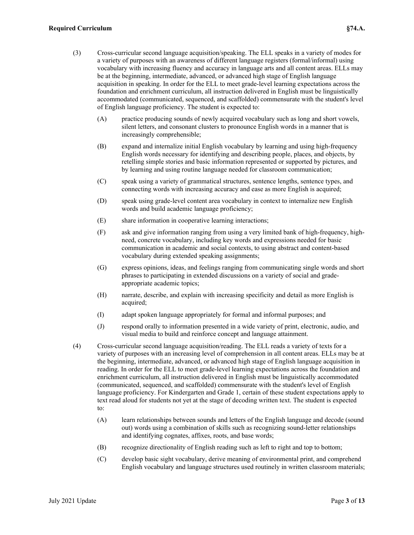## **Required Curriculum §74.A.**

- (3) Cross-curricular second language acquisition/speaking. The ELL speaks in a variety of modes for a variety of purposes with an awareness of different language registers (formal/informal) using vocabulary with increasing fluency and accuracy in language arts and all content areas. ELLs may be at the beginning, intermediate, advanced, or advanced high stage of English language acquisition in speaking. In order for the ELL to meet grade-level learning expectations across the foundation and enrichment curriculum, all instruction delivered in English must be linguistically accommodated (communicated, sequenced, and scaffolded) commensurate with the student's level of English language proficiency. The student is expected to:
	- (A) practice producing sounds of newly acquired vocabulary such as long and short vowels, silent letters, and consonant clusters to pronounce English words in a manner that is increasingly comprehensible;
	- (B) expand and internalize initial English vocabulary by learning and using high-frequency English words necessary for identifying and describing people, places, and objects, by retelling simple stories and basic information represented or supported by pictures, and by learning and using routine language needed for classroom communication;
	- (C) speak using a variety of grammatical structures, sentence lengths, sentence types, and connecting words with increasing accuracy and ease as more English is acquired;
	- (D) speak using grade-level content area vocabulary in context to internalize new English words and build academic language proficiency;
	- (E) share information in cooperative learning interactions;
	- (F) ask and give information ranging from using a very limited bank of high-frequency, highneed, concrete vocabulary, including key words and expressions needed for basic communication in academic and social contexts, to using abstract and content-based vocabulary during extended speaking assignments;
	- (G) express opinions, ideas, and feelings ranging from communicating single words and short phrases to participating in extended discussions on a variety of social and gradeappropriate academic topics;
	- (H) narrate, describe, and explain with increasing specificity and detail as more English is acquired;
	- (I) adapt spoken language appropriately for formal and informal purposes; and
	- (J) respond orally to information presented in a wide variety of print, electronic, audio, and visual media to build and reinforce concept and language attainment.
- (4) Cross-curricular second language acquisition/reading. The ELL reads a variety of texts for a variety of purposes with an increasing level of comprehension in all content areas. ELLs may be at the beginning, intermediate, advanced, or advanced high stage of English language acquisition in reading. In order for the ELL to meet grade-level learning expectations across the foundation and enrichment curriculum, all instruction delivered in English must be linguistically accommodated (communicated, sequenced, and scaffolded) commensurate with the student's level of English language proficiency. For Kindergarten and Grade 1, certain of these student expectations apply to text read aloud for students not yet at the stage of decoding written text. The student is expected to:
	- (A) learn relationships between sounds and letters of the English language and decode (sound out) words using a combination of skills such as recognizing sound-letter relationships and identifying cognates, affixes, roots, and base words;
	- (B) recognize directionality of English reading such as left to right and top to bottom;
	- (C) develop basic sight vocabulary, derive meaning of environmental print, and comprehend English vocabulary and language structures used routinely in written classroom materials;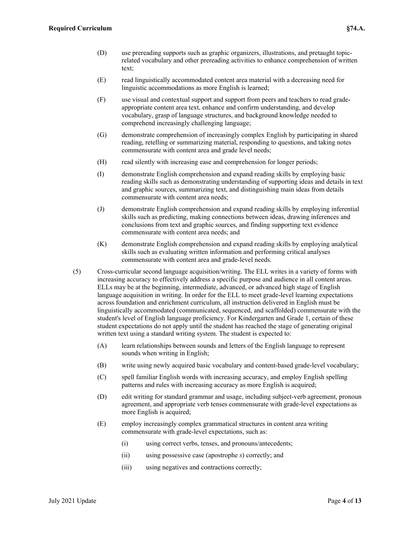- (D) use prereading supports such as graphic organizers, illustrations, and pretaught topicrelated vocabulary and other prereading activities to enhance comprehension of written text;
- (E) read linguistically accommodated content area material with a decreasing need for linguistic accommodations as more English is learned;
- (F) use visual and contextual support and support from peers and teachers to read gradeappropriate content area text, enhance and confirm understanding, and develop vocabulary, grasp of language structures, and background knowledge needed to comprehend increasingly challenging language;
- (G) demonstrate comprehension of increasingly complex English by participating in shared reading, retelling or summarizing material, responding to questions, and taking notes commensurate with content area and grade level needs;
- (H) read silently with increasing ease and comprehension for longer periods;
- (I) demonstrate English comprehension and expand reading skills by employing basic reading skills such as demonstrating understanding of supporting ideas and details in text and graphic sources, summarizing text, and distinguishing main ideas from details commensurate with content area needs;
- (J) demonstrate English comprehension and expand reading skills by employing inferential skills such as predicting, making connections between ideas, drawing inferences and conclusions from text and graphic sources, and finding supporting text evidence commensurate with content area needs; and
- (K) demonstrate English comprehension and expand reading skills by employing analytical skills such as evaluating written information and performing critical analyses commensurate with content area and grade-level needs.
- (5) Cross-curricular second language acquisition/writing. The ELL writes in a variety of forms with increasing accuracy to effectively address a specific purpose and audience in all content areas. ELLs may be at the beginning, intermediate, advanced, or advanced high stage of English language acquisition in writing. In order for the ELL to meet grade-level learning expectations across foundation and enrichment curriculum, all instruction delivered in English must be linguistically accommodated (communicated, sequenced, and scaffolded) commensurate with the student's level of English language proficiency. For Kindergarten and Grade 1, certain of these student expectations do not apply until the student has reached the stage of generating original written text using a standard writing system. The student is expected to:
	- (A) learn relationships between sounds and letters of the English language to represent sounds when writing in English;
	- (B) write using newly acquired basic vocabulary and content-based grade-level vocabulary;
	- (C) spell familiar English words with increasing accuracy, and employ English spelling patterns and rules with increasing accuracy as more English is acquired;
	- (D) edit writing for standard grammar and usage, including subject-verb agreement, pronoun agreement, and appropriate verb tenses commensurate with grade-level expectations as more English is acquired;
	- (E) employ increasingly complex grammatical structures in content area writing commensurate with grade-level expectations, such as:
		- (i) using correct verbs, tenses, and pronouns/antecedents;
		- (ii) using possessive case (apostrophe *s*) correctly; and
		- (iii) using negatives and contractions correctly;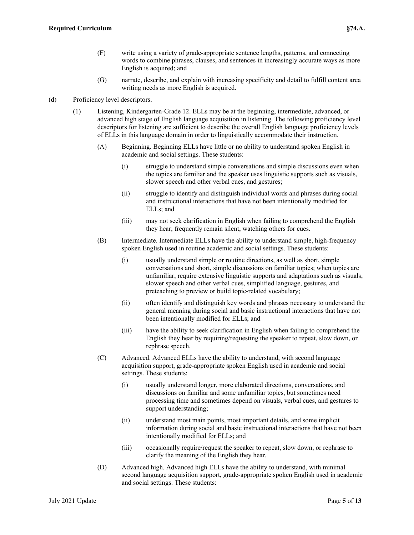- (F) write using a variety of grade-appropriate sentence lengths, patterns, and connecting words to combine phrases, clauses, and sentences in increasingly accurate ways as more English is acquired; and
- (G) narrate, describe, and explain with increasing specificity and detail to fulfill content area writing needs as more English is acquired.
- (d) Proficiency level descriptors.
	- (1) Listening, Kindergarten-Grade 12. ELLs may be at the beginning, intermediate, advanced, or advanced high stage of English language acquisition in listening. The following proficiency level descriptors for listening are sufficient to describe the overall English language proficiency levels of ELLs in this language domain in order to linguistically accommodate their instruction.
		- (A) Beginning. Beginning ELLs have little or no ability to understand spoken English in academic and social settings. These students:
			- (i) struggle to understand simple conversations and simple discussions even when the topics are familiar and the speaker uses linguistic supports such as visuals, slower speech and other verbal cues, and gestures;
			- (ii) struggle to identify and distinguish individual words and phrases during social and instructional interactions that have not been intentionally modified for ELLs; and
			- (iii) may not seek clarification in English when failing to comprehend the English they hear; frequently remain silent, watching others for cues.
		- (B) Intermediate. Intermediate ELLs have the ability to understand simple, high-frequency spoken English used in routine academic and social settings. These students:
			- (i) usually understand simple or routine directions, as well as short, simple conversations and short, simple discussions on familiar topics; when topics are unfamiliar, require extensive linguistic supports and adaptations such as visuals, slower speech and other verbal cues, simplified language, gestures, and preteaching to preview or build topic-related vocabulary;
			- (ii) often identify and distinguish key words and phrases necessary to understand the general meaning during social and basic instructional interactions that have not been intentionally modified for ELLs; and
			- (iii) have the ability to seek clarification in English when failing to comprehend the English they hear by requiring/requesting the speaker to repeat, slow down, or rephrase speech.
		- (C) Advanced. Advanced ELLs have the ability to understand, with second language acquisition support, grade-appropriate spoken English used in academic and social settings. These students:
			- (i) usually understand longer, more elaborated directions, conversations, and discussions on familiar and some unfamiliar topics, but sometimes need processing time and sometimes depend on visuals, verbal cues, and gestures to support understanding;
			- (ii) understand most main points, most important details, and some implicit information during social and basic instructional interactions that have not been intentionally modified for ELLs; and
			- (iii) occasionally require/request the speaker to repeat, slow down, or rephrase to clarify the meaning of the English they hear.
		- (D) Advanced high. Advanced high ELLs have the ability to understand, with minimal second language acquisition support, grade-appropriate spoken English used in academic and social settings. These students: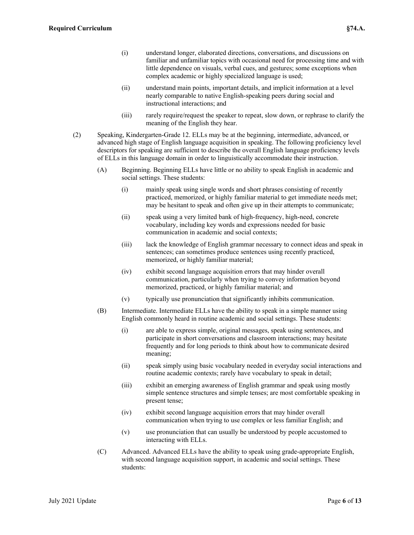- (i) understand longer, elaborated directions, conversations, and discussions on familiar and unfamiliar topics with occasional need for processing time and with little dependence on visuals, verbal cues, and gestures; some exceptions when complex academic or highly specialized language is used;
- (ii) understand main points, important details, and implicit information at a level nearly comparable to native English-speaking peers during social and instructional interactions; and
- (iii) rarely require/request the speaker to repeat, slow down, or rephrase to clarify the meaning of the English they hear.
- (2) Speaking, Kindergarten-Grade 12. ELLs may be at the beginning, intermediate, advanced, or advanced high stage of English language acquisition in speaking. The following proficiency level descriptors for speaking are sufficient to describe the overall English language proficiency levels of ELLs in this language domain in order to linguistically accommodate their instruction.
	- (A) Beginning. Beginning ELLs have little or no ability to speak English in academic and social settings. These students:
		- (i) mainly speak using single words and short phrases consisting of recently practiced, memorized, or highly familiar material to get immediate needs met; may be hesitant to speak and often give up in their attempts to communicate;
		- (ii) speak using a very limited bank of high-frequency, high-need, concrete vocabulary, including key words and expressions needed for basic communication in academic and social contexts;
		- (iii) lack the knowledge of English grammar necessary to connect ideas and speak in sentences; can sometimes produce sentences using recently practiced, memorized, or highly familiar material;
		- (iv) exhibit second language acquisition errors that may hinder overall communication, particularly when trying to convey information beyond memorized, practiced, or highly familiar material; and
		- (v) typically use pronunciation that significantly inhibits communication.
	- (B) Intermediate. Intermediate ELLs have the ability to speak in a simple manner using English commonly heard in routine academic and social settings. These students:
		- (i) are able to express simple, original messages, speak using sentences, and participate in short conversations and classroom interactions; may hesitate frequently and for long periods to think about how to communicate desired meaning;
		- (ii) speak simply using basic vocabulary needed in everyday social interactions and routine academic contexts; rarely have vocabulary to speak in detail;
		- (iii) exhibit an emerging awareness of English grammar and speak using mostly simple sentence structures and simple tenses; are most comfortable speaking in present tense;
		- (iv) exhibit second language acquisition errors that may hinder overall communication when trying to use complex or less familiar English; and
		- (v) use pronunciation that can usually be understood by people accustomed to interacting with ELLs.
	- (C) Advanced. Advanced ELLs have the ability to speak using grade-appropriate English, with second language acquisition support, in academic and social settings. These students: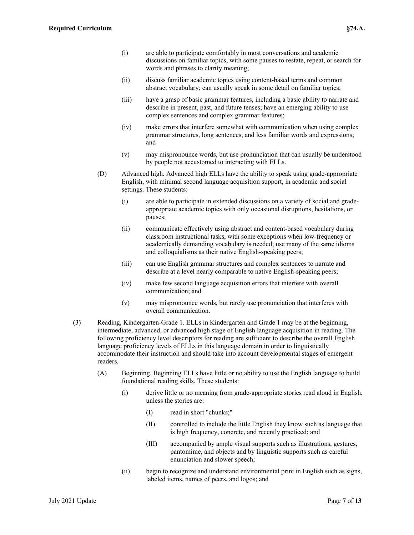- (i) are able to participate comfortably in most conversations and academic discussions on familiar topics, with some pauses to restate, repeat, or search for words and phrases to clarify meaning;
- (ii) discuss familiar academic topics using content-based terms and common abstract vocabulary; can usually speak in some detail on familiar topics;
- (iii) have a grasp of basic grammar features, including a basic ability to narrate and describe in present, past, and future tenses; have an emerging ability to use complex sentences and complex grammar features;
- (iv) make errors that interfere somewhat with communication when using complex grammar structures, long sentences, and less familiar words and expressions; and
- (v) may mispronounce words, but use pronunciation that can usually be understood by people not accustomed to interacting with ELLs.
- (D) Advanced high. Advanced high ELLs have the ability to speak using grade-appropriate English, with minimal second language acquisition support, in academic and social settings. These students:
	- (i) are able to participate in extended discussions on a variety of social and gradeappropriate academic topics with only occasional disruptions, hesitations, or pauses;
	- (ii) communicate effectively using abstract and content-based vocabulary during classroom instructional tasks, with some exceptions when low-frequency or academically demanding vocabulary is needed; use many of the same idioms and colloquialisms as their native English-speaking peers;
	- (iii) can use English grammar structures and complex sentences to narrate and describe at a level nearly comparable to native English-speaking peers;
	- (iv) make few second language acquisition errors that interfere with overall communication; and
	- (v) may mispronounce words, but rarely use pronunciation that interferes with overall communication.
- (3) Reading, Kindergarten-Grade 1. ELLs in Kindergarten and Grade 1 may be at the beginning, intermediate, advanced, or advanced high stage of English language acquisition in reading. The following proficiency level descriptors for reading are sufficient to describe the overall English language proficiency levels of ELLs in this language domain in order to linguistically accommodate their instruction and should take into account developmental stages of emergent readers.
	- (A) Beginning. Beginning ELLs have little or no ability to use the English language to build foundational reading skills. These students:
		- (i) derive little or no meaning from grade-appropriate stories read aloud in English, unless the stories are:
			- (I) read in short "chunks;"
			- (II) controlled to include the little English they know such as language that is high frequency, concrete, and recently practiced; and
			- (III) accompanied by ample visual supports such as illustrations, gestures, pantomime, and objects and by linguistic supports such as careful enunciation and slower speech;
		- (ii) begin to recognize and understand environmental print in English such as signs, labeled items, names of peers, and logos; and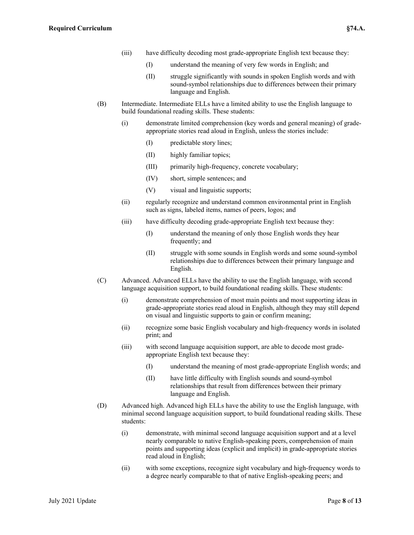- (iii) have difficulty decoding most grade-appropriate English text because they:
	- (I) understand the meaning of very few words in English; and
	- (II) struggle significantly with sounds in spoken English words and with sound-symbol relationships due to differences between their primary language and English.
- (B) Intermediate. Intermediate ELLs have a limited ability to use the English language to build foundational reading skills. These students:
	- (i) demonstrate limited comprehension (key words and general meaning) of gradeappropriate stories read aloud in English, unless the stories include:
		- (I) predictable story lines;
		- (II) highly familiar topics;
		- (III) primarily high-frequency, concrete vocabulary;
		- (IV) short, simple sentences; and
		- (V) visual and linguistic supports;
	- (ii) regularly recognize and understand common environmental print in English such as signs, labeled items, names of peers, logos; and
	- (iii) have difficulty decoding grade-appropriate English text because they:
		- (I) understand the meaning of only those English words they hear frequently; and
		- (II) struggle with some sounds in English words and some sound-symbol relationships due to differences between their primary language and English.
- (C) Advanced. Advanced ELLs have the ability to use the English language, with second language acquisition support, to build foundational reading skills. These students:
	- (i) demonstrate comprehension of most main points and most supporting ideas in grade-appropriate stories read aloud in English, although they may still depend on visual and linguistic supports to gain or confirm meaning;
	- (ii) recognize some basic English vocabulary and high-frequency words in isolated print; and
	- (iii) with second language acquisition support, are able to decode most gradeappropriate English text because they:
		- (I) understand the meaning of most grade-appropriate English words; and
		- (II) have little difficulty with English sounds and sound-symbol relationships that result from differences between their primary language and English.
- (D) Advanced high. Advanced high ELLs have the ability to use the English language, with minimal second language acquisition support, to build foundational reading skills. These students:
	- (i) demonstrate, with minimal second language acquisition support and at a level nearly comparable to native English-speaking peers, comprehension of main points and supporting ideas (explicit and implicit) in grade-appropriate stories read aloud in English;
	- (ii) with some exceptions, recognize sight vocabulary and high-frequency words to a degree nearly comparable to that of native English-speaking peers; and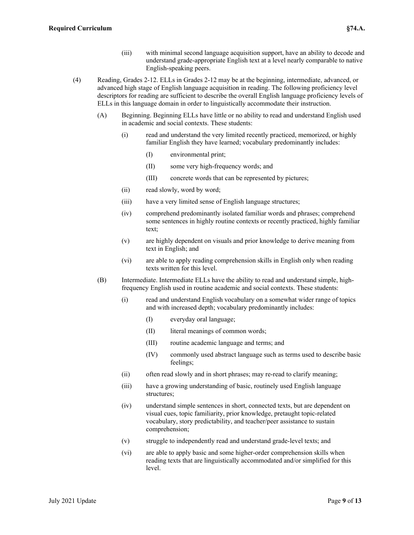- (iii) with minimal second language acquisition support, have an ability to decode and understand grade-appropriate English text at a level nearly comparable to native English-speaking peers.
- (4) Reading, Grades 2-12. ELLs in Grades 2-12 may be at the beginning, intermediate, advanced, or advanced high stage of English language acquisition in reading. The following proficiency level descriptors for reading are sufficient to describe the overall English language proficiency levels of ELLs in this language domain in order to linguistically accommodate their instruction.
	- (A) Beginning. Beginning ELLs have little or no ability to read and understand English used in academic and social contexts. These students:
		- (i) read and understand the very limited recently practiced, memorized, or highly familiar English they have learned; vocabulary predominantly includes:
			- (I) environmental print;
			- (II) some very high-frequency words; and
			- (III) concrete words that can be represented by pictures;
		- (ii) read slowly, word by word;
		- (iii) have a very limited sense of English language structures;
		- (iv) comprehend predominantly isolated familiar words and phrases; comprehend some sentences in highly routine contexts or recently practiced, highly familiar text;
		- (v) are highly dependent on visuals and prior knowledge to derive meaning from text in English; and
		- (vi) are able to apply reading comprehension skills in English only when reading texts written for this level.
	- (B) Intermediate. Intermediate ELLs have the ability to read and understand simple, highfrequency English used in routine academic and social contexts. These students:
		- (i) read and understand English vocabulary on a somewhat wider range of topics and with increased depth; vocabulary predominantly includes:
			- (I) everyday oral language;
			- (II) literal meanings of common words;
			- (III) routine academic language and terms; and
			- (IV) commonly used abstract language such as terms used to describe basic feelings;
		- (ii) often read slowly and in short phrases; may re-read to clarify meaning;
		- (iii) have a growing understanding of basic, routinely used English language structures;
		- (iv) understand simple sentences in short, connected texts, but are dependent on visual cues, topic familiarity, prior knowledge, pretaught topic-related vocabulary, story predictability, and teacher/peer assistance to sustain comprehension;
		- (v) struggle to independently read and understand grade-level texts; and
		- (vi) are able to apply basic and some higher-order comprehension skills when reading texts that are linguistically accommodated and/or simplified for this level.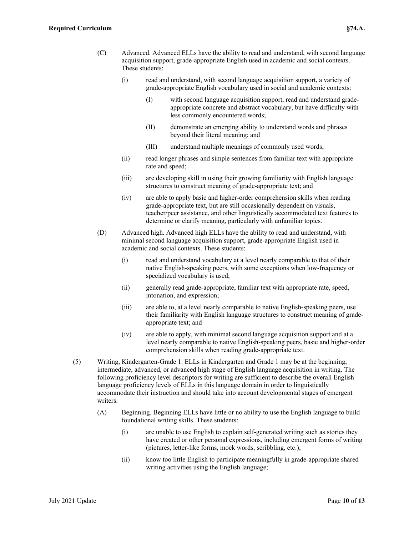- (C) Advanced. Advanced ELLs have the ability to read and understand, with second language acquisition support, grade-appropriate English used in academic and social contexts. These students:
	- (i) read and understand, with second language acquisition support, a variety of grade-appropriate English vocabulary used in social and academic contexts:
		- (I) with second language acquisition support, read and understand gradeappropriate concrete and abstract vocabulary, but have difficulty with less commonly encountered words;
		- (II) demonstrate an emerging ability to understand words and phrases beyond their literal meaning; and
		- (III) understand multiple meanings of commonly used words;
	- (ii) read longer phrases and simple sentences from familiar text with appropriate rate and speed;
	- (iii) are developing skill in using their growing familiarity with English language structures to construct meaning of grade-appropriate text; and
	- (iv) are able to apply basic and higher-order comprehension skills when reading grade-appropriate text, but are still occasionally dependent on visuals, teacher/peer assistance, and other linguistically accommodated text features to determine or clarify meaning, particularly with unfamiliar topics.
- (D) Advanced high. Advanced high ELLs have the ability to read and understand, with minimal second language acquisition support, grade-appropriate English used in academic and social contexts. These students:
	- (i) read and understand vocabulary at a level nearly comparable to that of their native English-speaking peers, with some exceptions when low-frequency or specialized vocabulary is used;
	- (ii) generally read grade-appropriate, familiar text with appropriate rate, speed, intonation, and expression;
	- (iii) are able to, at a level nearly comparable to native English-speaking peers, use their familiarity with English language structures to construct meaning of gradeappropriate text; and
	- (iv) are able to apply, with minimal second language acquisition support and at a level nearly comparable to native English-speaking peers, basic and higher-order comprehension skills when reading grade-appropriate text.
- (5) Writing, Kindergarten-Grade 1. ELLs in Kindergarten and Grade 1 may be at the beginning, intermediate, advanced, or advanced high stage of English language acquisition in writing. The following proficiency level descriptors for writing are sufficient to describe the overall English language proficiency levels of ELLs in this language domain in order to linguistically accommodate their instruction and should take into account developmental stages of emergent writers.
	- (A) Beginning. Beginning ELLs have little or no ability to use the English language to build foundational writing skills. These students:
		- (i) are unable to use English to explain self-generated writing such as stories they have created or other personal expressions, including emergent forms of writing (pictures, letter-like forms, mock words, scribbling, etc.);
		- (ii) know too little English to participate meaningfully in grade-appropriate shared writing activities using the English language;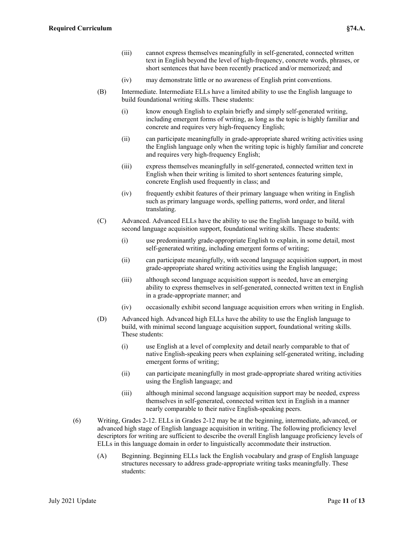- (iv) may demonstrate little or no awareness of English print conventions.
- (B) Intermediate. Intermediate ELLs have a limited ability to use the English language to build foundational writing skills. These students:
	- (i) know enough English to explain briefly and simply self-generated writing, including emergent forms of writing, as long as the topic is highly familiar and concrete and requires very high-frequency English;
	- (ii) can participate meaningfully in grade-appropriate shared writing activities using the English language only when the writing topic is highly familiar and concrete and requires very high-frequency English;
	- (iii) express themselves meaningfully in self-generated, connected written text in English when their writing is limited to short sentences featuring simple, concrete English used frequently in class; and
	- (iv) frequently exhibit features of their primary language when writing in English such as primary language words, spelling patterns, word order, and literal translating.
- (C) Advanced. Advanced ELLs have the ability to use the English language to build, with second language acquisition support, foundational writing skills. These students:
	- (i) use predominantly grade-appropriate English to explain, in some detail, most self-generated writing, including emergent forms of writing;
	- (ii) can participate meaningfully, with second language acquisition support, in most grade-appropriate shared writing activities using the English language;
	- (iii) although second language acquisition support is needed, have an emerging ability to express themselves in self-generated, connected written text in English in a grade-appropriate manner; and
	- (iv) occasionally exhibit second language acquisition errors when writing in English.
- (D) Advanced high. Advanced high ELLs have the ability to use the English language to build, with minimal second language acquisition support, foundational writing skills. These students:
	- (i) use English at a level of complexity and detail nearly comparable to that of native English-speaking peers when explaining self-generated writing, including emergent forms of writing;
	- (ii) can participate meaningfully in most grade-appropriate shared writing activities using the English language; and
	- (iii) although minimal second language acquisition support may be needed, express themselves in self-generated, connected written text in English in a manner nearly comparable to their native English-speaking peers.
- (6) Writing, Grades 2-12. ELLs in Grades 2-12 may be at the beginning, intermediate, advanced, or advanced high stage of English language acquisition in writing. The following proficiency level descriptors for writing are sufficient to describe the overall English language proficiency levels of ELLs in this language domain in order to linguistically accommodate their instruction.
	- (A) Beginning. Beginning ELLs lack the English vocabulary and grasp of English language structures necessary to address grade-appropriate writing tasks meaningfully. These students: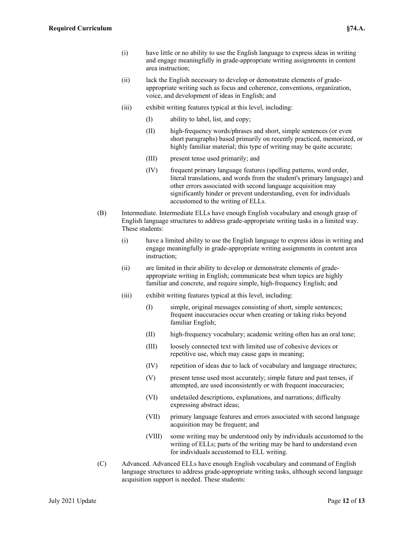- (i) have little or no ability to use the English language to express ideas in writing and engage meaningfully in grade-appropriate writing assignments in content area instruction;
- (ii) lack the English necessary to develop or demonstrate elements of gradeappropriate writing such as focus and coherence, conventions, organization, voice, and development of ideas in English; and
- (iii) exhibit writing features typical at this level, including:
	- (I) ability to label, list, and copy;
	- (II) high-frequency words/phrases and short, simple sentences (or even short paragraphs) based primarily on recently practiced, memorized, or highly familiar material; this type of writing may be quite accurate;
	- (III) present tense used primarily; and
	- (IV) frequent primary language features (spelling patterns, word order, literal translations, and words from the student's primary language) and other errors associated with second language acquisition may significantly hinder or prevent understanding, even for individuals accustomed to the writing of ELLs.
- (B) Intermediate. Intermediate ELLs have enough English vocabulary and enough grasp of English language structures to address grade-appropriate writing tasks in a limited way. These students:
	- (i) have a limited ability to use the English language to express ideas in writing and engage meaningfully in grade-appropriate writing assignments in content area instruction;
	- (ii) are limited in their ability to develop or demonstrate elements of gradeappropriate writing in English; communicate best when topics are highly familiar and concrete, and require simple, high-frequency English; and
	- (iii) exhibit writing features typical at this level, including:
		- (I) simple, original messages consisting of short, simple sentences; frequent inaccuracies occur when creating or taking risks beyond familiar English;
		- (II) high-frequency vocabulary; academic writing often has an oral tone;
		- (III) loosely connected text with limited use of cohesive devices or repetitive use, which may cause gaps in meaning;
		- (IV) repetition of ideas due to lack of vocabulary and language structures;
		- (V) present tense used most accurately; simple future and past tenses, if attempted, are used inconsistently or with frequent inaccuracies;
		- (VI) undetailed descriptions, explanations, and narrations; difficulty expressing abstract ideas;
		- (VII) primary language features and errors associated with second language acquisition may be frequent; and
		- (VIII) some writing may be understood only by individuals accustomed to the writing of ELLs; parts of the writing may be hard to understand even for individuals accustomed to ELL writing.
- (C) Advanced. Advanced ELLs have enough English vocabulary and command of English language structures to address grade-appropriate writing tasks, although second language acquisition support is needed. These students: